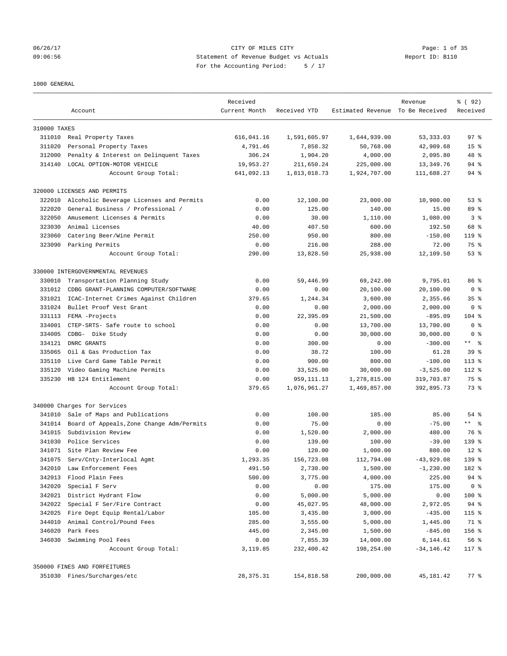## 06/26/17 CITY OF MILES CITY Page: 1 of 35 09:06:56 Statement of Revenue Budget vs Actuals Report ID: B110 For the Accounting Period: 5 / 17

1000 GENERAL

|              | Account                                   | Received<br>Current Month | Received YTD | Estimated Revenue To Be Received | Revenue       | % (92)<br>Received |
|--------------|-------------------------------------------|---------------------------|--------------|----------------------------------|---------------|--------------------|
| 310000 TAXES |                                           |                           |              |                                  |               |                    |
|              | 311010 Real Property Taxes                | 616,041.16                | 1,591,605.97 | 1,644,939.00                     | 53, 333.03    | 97 <sup>8</sup>    |
| 311020       | Personal Property Taxes                   | 4,791.46                  | 7,858.32     | 50,768.00                        | 42,909.68     | 15 <sup>8</sup>    |
| 312000       | Penalty & Interest on Delinquent Taxes    | 306.24                    | 1,904.20     | 4,000.00                         | 2,095.80      | 48 %               |
| 314140       | LOCAL OPTION-MOTOR VEHICLE                | 19,953.27                 | 211,650.24   | 225,000.00                       | 13,349.76     | 94 %               |
|              | Account Group Total:                      | 641,092.13                | 1,813,018.73 | 1,924,707.00                     | 111,688.27    | 94 %               |
|              | 320000 LICENSES AND PERMITS               |                           |              |                                  |               |                    |
| 322010       | Alcoholic Beverage Licenses and Permits   | 0.00                      | 12,100.00    | 23,000.00                        | 10,900.00     | 53%                |
| 322020       | General Business / Professional /         | 0.00                      | 125.00       | 140.00                           | 15.00         | 89 %               |
| 322050       | Amusement Licenses & Permits              | 0.00                      | 30.00        | 1,110.00                         | 1,080.00      | 3 <sup>8</sup>     |
| 323030       | Animal Licenses                           | 40.00                     | 407.50       | 600.00                           | 192.50        | 68 %               |
| 323060       | Catering Beer/Wine Permit                 | 250.00                    | 950.00       | 800.00                           | $-150.00$     | $119$ %            |
| 323090       | Parking Permits                           | 0.00                      | 216.00       | 288.00                           | 72.00         | 75 %               |
|              | Account Group Total:                      | 290.00                    | 13,828.50    | 25,938.00                        | 12,109.50     | 53%                |
|              | 330000 INTERGOVERNMENTAL REVENUES         |                           |              |                                  |               |                    |
| 330010       | Transportation Planning Study             | 0.00                      | 59,446.99    | 69,242.00                        | 9,795.01      | 86 %               |
| 331012       | CDBG GRANT-PLANNING COMPUTER/SOFTWARE     | 0.00                      | 0.00         | 20,100.00                        | 20,100.00     | 0 <sup>8</sup>     |
| 331021       | ICAC-Internet Crimes Against Children     | 379.65                    | 1,244.34     | 3,600.00                         | 2,355.66      | 35 <sup>8</sup>    |
| 331024       | Bullet Proof Vest Grant                   | 0.00                      | 0.00         | 2,000.00                         | 2,000.00      | 0 <sup>8</sup>     |
| 331113       | FEMA -Projects                            | 0.00                      | 22,395.09    | 21,500.00                        | $-895.09$     | $104$ %            |
| 334001       | CTEP-SRTS- Safe route to school           | 0.00                      | 0.00         | 13,700.00                        | 13,700.00     | 0 <sup>8</sup>     |
| 334005       | CDBG- Dike Study                          | 0.00                      | 0.00         | 30,000.00                        | 30,000.00     | 0 <sup>8</sup>     |
| 334121       | DNRC GRANTS                               | 0.00                      | 300.00       | 0.00                             | $-300.00$     | $***$ $ -$         |
| 335065       | Oil & Gas Production Tax                  | 0.00                      | 38.72        | 100.00                           | 61.28         | 39 <sup>8</sup>    |
| 335110       | Live Card Game Table Permit               | 0.00                      | 900.00       | 800.00                           | $-100.00$     | $113$ %            |
| 335120       | Video Gaming Machine Permits              | 0.00                      | 33,525.00    | 30,000.00                        | $-3,525.00$   | $112$ %            |
| 335230       | HB 124 Entitlement                        | 0.00                      | 959, 111.13  | 1,278,815.00                     | 319,703.87    | 75 %               |
|              | Account Group Total:                      | 379.65                    | 1,076,961.27 | 1,469,857.00                     | 392,895.73    | 73 %               |
|              | 340000 Charges for Services               |                           |              |                                  |               |                    |
| 341010       | Sale of Maps and Publications             | 0.00                      | 100.00       | 185.00                           | 85.00         | 54 %               |
| 341014       | Board of Appeals, Zone Change Adm/Permits | 0.00                      | 75.00        | 0.00                             | $-75.00$      | ** %               |
| 341015       | Subdivision Review                        | 0.00                      | 1,520.00     | 2,000.00                         | 480.00        | 76 %               |
| 341030       | Police Services                           | 0.00                      | 139.00       | 100.00                           | $-39.00$      | 139 <sub>8</sub>   |
|              | 341071 Site Plan Review Fee               | 0.00                      | 120.00       | 1,000.00                         | 880.00        | $12*$              |
| 341075       | Serv/Cnty-Interlocal Agmt                 | 1,293.35                  | 156,723.08   | 112,794.00                       | $-43,929.08$  | 139 <sub>8</sub>   |
| 342010       | Law Enforcement Fees                      | 491.50                    | 2,730.00     | 1,500.00                         | $-1, 230.00$  | 182 %              |
| 342013       | Flood Plain Fees                          | 500.00                    | 3,775.00     | 4,000.00                         | 225.00        | 94 %               |
| 342020       | Special F Serv                            | 0.00                      | 0.00         | 175.00                           | 175.00        | 0 <sup>8</sup>     |
| 342021       | District Hydrant Flow                     | 0.00                      | 5,000.00     | 5,000.00                         | 0.00          | 100 %              |
| 342022       | Special F Ser/Fire Contract               | 0.00                      | 45,027.95    | 48,000.00                        | 2,972.05      | $94$ %             |
| 342025       | Fire Dept Equip Rental/Labor              | 105.00                    | 3,435.00     | 3,000.00                         | $-435.00$     | 115 %              |
| 344010       | Animal Control/Pound Fees                 | 285.00                    | 3,555.00     | 5,000.00                         | 1,445.00      | 71 %               |
| 346020       | Park Fees                                 | 445.00                    | 2,345.00     | 1,500.00                         | $-845.00$     | 156 %              |
| 346030       | Swimming Pool Fees                        | 0.00                      | 7,855.39     | 14,000.00                        | 6,144.61      | 56 %               |
|              | Account Group Total:                      | 3,119.85                  | 232,400.42   | 198,254.00                       | $-34, 146.42$ | 117 %              |
|              | 350000 FINES AND FORFEITURES              |                           |              |                                  |               |                    |
|              | 351030 Fines/Surcharges/etc               | 28, 375.31                | 154,818.58   | 200,000.00                       | 45,181.42     | $77$ $%$           |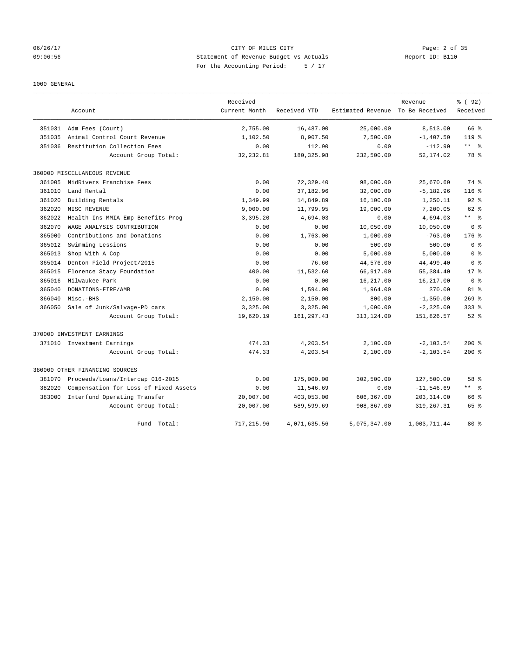## 06/26/17 CITY OF MILES CITY Page: 2 of 35 09:06:56 Statement of Revenue Budget vs Actuals Report ID: B110 For the Accounting Period: 5 / 17

## 1000 GENERAL

|        |                                       | Received      |              |                   | Revenue        | % (92)                  |
|--------|---------------------------------------|---------------|--------------|-------------------|----------------|-------------------------|
|        | Account                               | Current Month | Received YTD | Estimated Revenue | To Be Received | Received                |
| 351031 | Adm Fees (Court)                      | 2,755.00      | 16,487.00    | 25,000.00         | 8,513.00       | 66 %                    |
| 351035 | Animal Control Court Revenue          | 1,102.50      | 8,907.50     | 7,500.00          | $-1,407.50$    | $119*$                  |
| 351036 | Restitution Collection Fees           | 0.00          | 112.90       | 0.00              | $-112.90$      | $***$ $=$ $\frac{6}{5}$ |
|        | Account Group Total:                  | 32, 232.81    | 180, 325.98  | 232,500.00        | 52,174.02      | 78 %                    |
|        | 360000 MISCELLANEOUS REVENUE          |               |              |                   |                |                         |
| 361005 | MidRivers Franchise Fees              | 0.00          | 72,329.40    | 98,000.00         | 25,670.60      | 74 %                    |
| 361010 | Land Rental                           | 0.00          | 37, 182.96   | 32,000.00         | $-5, 182.96$   | 116%                    |
| 361020 | Building Rentals                      | 1,349.99      | 14,849.89    | 16,100.00         | 1,250.11       | $92*$                   |
| 362020 | MISC REVENUE                          | 9,000.00      | 11,799.95    | 19,000.00         | 7,200.05       | $62$ $%$                |
| 362022 | Health Ins-MMIA Emp Benefits Prog     | 3,395.20      | 4,694.03     | 0.00              | $-4,694.03$    | $***$ $ -$              |
| 362070 | WAGE ANALYSIS CONTRIBUTION            | 0.00          | 0.00         | 10,050.00         | 10,050.00      | 0 <sup>8</sup>          |
| 365000 | Contributions and Donations           | 0.00          | 1,763.00     | 1,000.00          | $-763.00$      | $176$ %                 |
| 365012 | Swimming Lessions                     | 0.00          | 0.00         | 500.00            | 500.00         | 0 <sup>8</sup>          |
| 365013 | Shop With A Cop                       | 0.00          | 0.00         | 5,000.00          | 5,000.00       | 0 <sup>8</sup>          |
| 365014 | Denton Field Project/2015             | 0.00          | 76.60        | 44,576.00         | 44, 499.40     | 0 <sup>8</sup>          |
| 365015 | Florence Stacy Foundation             | 400.00        | 11,532.60    | 66,917.00         | 55, 384.40     | $17*$                   |
| 365016 | Milwaukee Park                        | 0.00          | 0.00         | 16,217.00         | 16,217.00      | 0 <sup>8</sup>          |
| 365040 | DONATIONS-FIRE/AMB                    | 0.00          | 1,594.00     | 1,964.00          | 370.00         | $81$ %                  |
| 366040 | Misc.-BHS                             | 2,150.00      | 2,150.00     | 800.00            | $-1,350.00$    | $269$ $%$               |
| 366050 | Sale of Junk/Salvage-PD cars          | 3,325.00      | 3,325.00     | 1,000.00          | $-2, 325.00$   | $333$ $%$               |
|        | Account Group Total:                  | 19,620.19     | 161, 297.43  | 313, 124.00       | 151,826.57     | $52$ $%$                |
|        | 370000 INVESTMENT EARNINGS            |               |              |                   |                |                         |
|        | 371010 Investment Earnings            | 474.33        | 4,203.54     | 2,100.00          | $-2, 103.54$   | 200%                    |
|        | Account Group Total:                  | 474.33        | 4,203.54     | 2,100.00          | $-2, 103.54$   | 200%                    |
|        | 380000 OTHER FINANCING SOURCES        |               |              |                   |                |                         |
| 381070 | Proceeds/Loans/Intercap 016-2015      | 0.00          | 175,000.00   | 302,500.00        | 127,500.00     | 58 %                    |
| 382020 | Compensation for Loss of Fixed Assets | 0.00          | 11,546.69    | 0.00              | $-11, 546.69$  | $***$ $ -$              |
| 383000 | Interfund Operating Transfer          | 20,007.00     | 403,053.00   | 606,367.00        | 203, 314.00    | 66 %                    |
|        | Account Group Total:                  | 20,007.00     | 589,599.69   | 908,867.00        | 319, 267.31    | 65 %                    |
|        | Fund<br>Total:                        | 717,215.96    | 4,071,635.56 | 5,075,347.00      | 1,003,711.44   | 80 <sub>8</sub>         |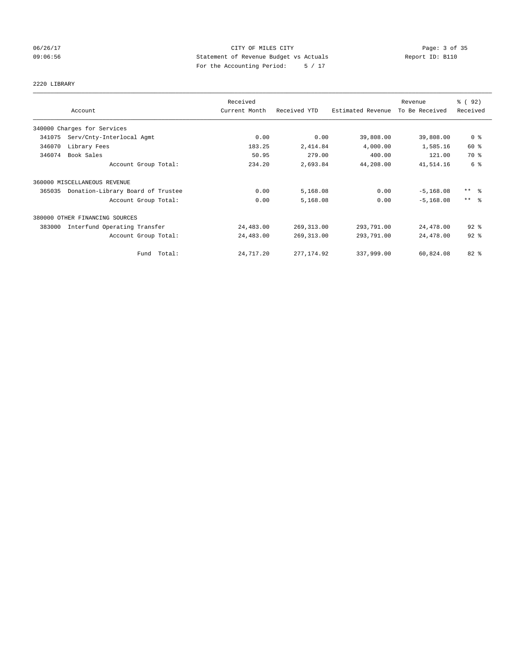## 06/26/17 CITY OF MILES CITY Page: 3 of 35 09:06:56 Statement of Revenue Budget vs Actuals Report ID: B110 For the Accounting Period: 5 / 17

## 2220 LIBRARY

|        |                                   | Received      |              |                   | Revenue        | % (92)              |
|--------|-----------------------------------|---------------|--------------|-------------------|----------------|---------------------|
|        | Account                           | Current Month | Received YTD | Estimated Revenue | To Be Received | Received            |
|        | 340000 Charges for Services       |               |              |                   |                |                     |
| 341075 | Serv/Cnty-Interlocal Agmt         | 0.00          | 0.00         | 39,808.00         | 39,808.00      | 0 <sup>8</sup>      |
| 346070 | Library Fees                      | 183.25        | 2,414.84     | 4,000.00          | 1,585.16       | 60 %                |
| 346074 | Book Sales                        | 50.95         | 279.00       | 400.00            | 121.00         | 70 %                |
|        | Account Group Total:              | 234.20        | 2,693.84     | 44,208.00         | 41,514.16      | 6 %                 |
|        | 360000 MISCELLANEOUS REVENUE      |               |              |                   |                |                     |
| 365035 | Donation-Library Board of Trustee | 0.00          | 5,168.08     | 0.00              | $-5,168.08$    | $***$ $\frac{6}{5}$ |
|        | Account Group Total:              | 0.00          | 5,168.08     | 0.00              | $-5.168.08$    | $***$ $\frac{6}{5}$ |
|        | 380000 OTHER FINANCING SOURCES    |               |              |                   |                |                     |
| 383000 | Interfund Operating Transfer      | 24,483.00     | 269, 313.00  | 293,791.00        | 24,478.00      | $92$ $%$            |
|        | Account Group Total:              | 24,483.00     | 269, 313.00  | 293,791.00        | 24,478.00      | $92$ $%$            |
|        | Fund Total:                       | 24,717.20     | 277, 174.92  | 337,999.00        | 60,824.08      | 82 %                |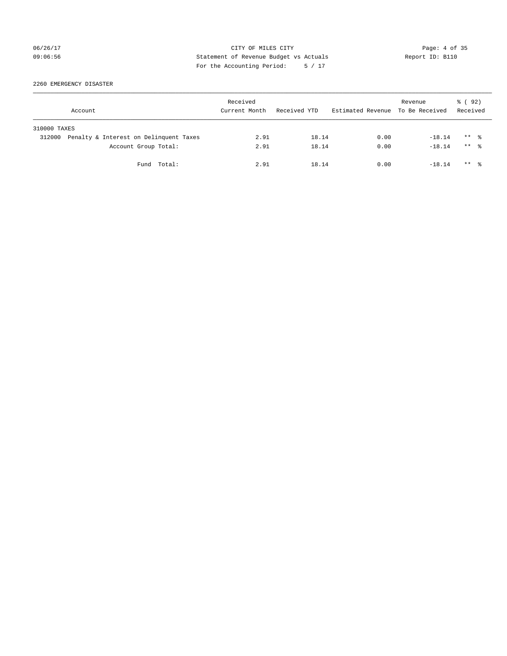## 06/26/17 CITY OF MILES CITY Page: 4 of 35 09:06:56 Statement of Revenue Budget vs Actuals Report ID: B110 For the Accounting Period: 5 / 17

2260 EMERGENCY DISASTER

|              | Account                                | Received<br>Current Month | Received YTD | Estimated Revenue To Be Received | Revenue  | 8 (92)<br>Received   |
|--------------|----------------------------------------|---------------------------|--------------|----------------------------------|----------|----------------------|
| 310000 TAXES |                                        |                           |              |                                  |          |                      |
| 312000       | Penalty & Interest on Delinquent Taxes | 2.91                      | 18.14        | 0.00                             | $-18.14$ | $***$ %              |
|              | Account Group Total:                   | 2.91                      | 18.14        | 0.00                             | $-18.14$ | $***$ $\frac{6}{10}$ |
|              | Fund Total:                            | 2.91                      | 18.14        | 0.00                             | $-18.14$ | $***$ 2              |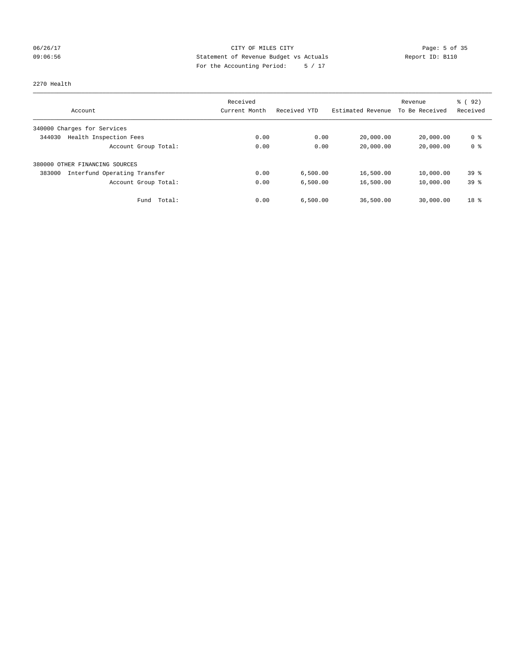## 06/26/17 CITY OF MILES CITY Page: 5 of 35 09:06:56 Statement of Revenue Budget vs Actuals Report ID: B110 For the Accounting Period: 5 / 17

## 2270 Health

|                                        | Received      |              |                   | Revenue        | 8 (92)          |
|----------------------------------------|---------------|--------------|-------------------|----------------|-----------------|
| Account                                | Current Month | Received YTD | Estimated Revenue | To Be Received | Received        |
| 340000 Charges for Services            |               |              |                   |                |                 |
| Health Inspection Fees<br>344030       | 0.00          | 0.00         | 20,000.00         | 20,000.00      | 0 %             |
| Account Group Total:                   | 0.00          | 0.00         | 20,000.00         | 20,000.00      | 0 <sup>8</sup>  |
| 380000 OTHER FINANCING SOURCES         |               |              |                   |                |                 |
| Interfund Operating Transfer<br>383000 | 0.00          | 6.500.00     | 16,500.00         | 10,000.00      | 39 <sup>8</sup> |
| Account Group Total:                   | 0.00          | 6.500.00     | 16,500.00         | 10,000.00      | 39 <sup>8</sup> |
| Total:<br>Fund                         | 0.00          | 6.500.00     | 36,500.00         | 30,000.00      | 18 <sup>8</sup> |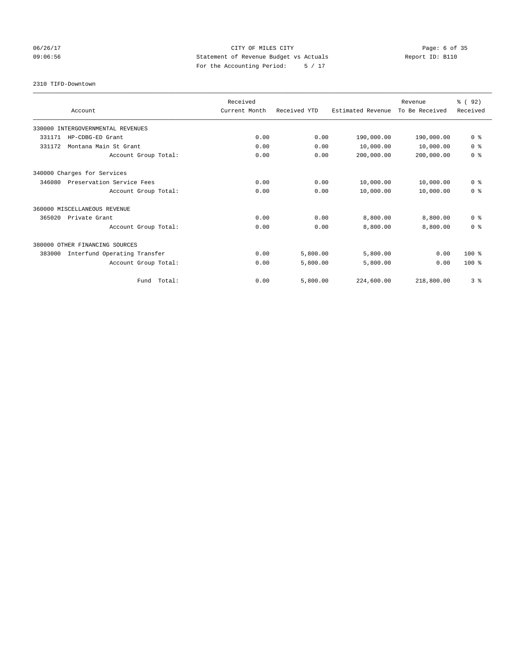## 06/26/17 CITY OF MILES CITY Page: 6 of 35 09:06:56 Statement of Revenue Budget vs Actuals Report ID: B110 For the Accounting Period: 5 / 17

2310 TIFD-Downtown

|                                        | Received      |              |                   | Revenue        | 8 (92)         |
|----------------------------------------|---------------|--------------|-------------------|----------------|----------------|
| Account                                | Current Month | Received YTD | Estimated Revenue | To Be Received | Received       |
| 330000 INTERGOVERNMENTAL REVENUES      |               |              |                   |                |                |
| 331171<br>HP-CDBG-ED Grant             | 0.00          | 0.00         | 190,000.00        | 190,000.00     | 0 <sup>8</sup> |
| Montana Main St Grant<br>331172        | 0.00          | 0.00         | 10,000.00         | 10,000.00      | 0 <sup>8</sup> |
| Account Group Total:                   | 0.00          | 0.00         | 200,000.00        | 200,000.00     | 0 <sup>8</sup> |
| 340000 Charges for Services            |               |              |                   |                |                |
| 346080<br>Preservation Service Fees    | 0.00          | 0.00         | 10,000.00         | 10,000.00      | 0 <sup>8</sup> |
| Account Group Total:                   | 0.00          | 0.00         | 10,000.00         | 10,000.00      | 0 <sup>8</sup> |
| 360000 MISCELLANEOUS REVENUE           |               |              |                   |                |                |
| 365020<br>Private Grant                | 0.00          | 0.00         | 8,800.00          | 8,800.00       | 0 <sup>8</sup> |
| Account Group Total:                   | 0.00          | 0.00         | 8,800.00          | 8,800.00       | 0 <sup>8</sup> |
| 380000 OTHER FINANCING SOURCES         |               |              |                   |                |                |
| 383000<br>Interfund Operating Transfer | 0.00          | 5,800.00     | 5,800.00          | 0.00           | $100*$         |
| Account Group Total:                   | 0.00          | 5,800.00     | 5,800.00          | 0.00           | $100*$         |
| Fund Total:                            | 0.00          | 5,800.00     | 224,600.00        | 218,800.00     | 3%             |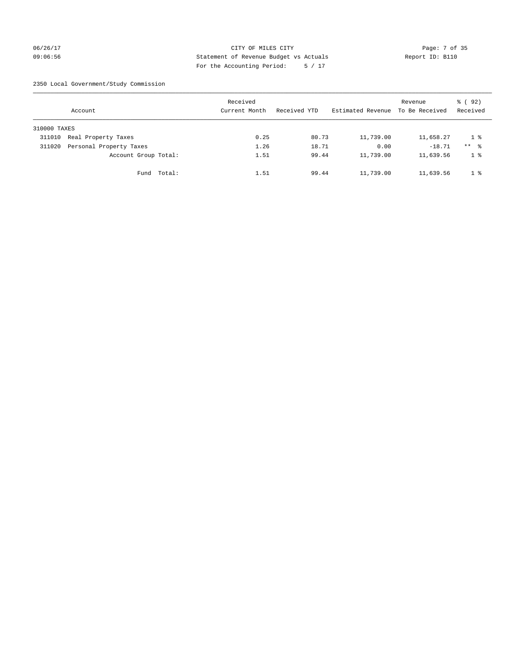## 06/26/17 CITY OF MILES CITY Page: 7 of 35 09:06:56 Statement of Revenue Budget vs Actuals Report ID: B110 For the Accounting Period: 5 / 17

2350 Local Government/Study Commission

|              | Account                 |             | Received<br>Current Month |      | Received YTD |       | Estimated Revenue To Be Received | Revenue   | % (92)<br>Received |
|--------------|-------------------------|-------------|---------------------------|------|--------------|-------|----------------------------------|-----------|--------------------|
| 310000 TAXES |                         |             |                           |      |              |       |                                  |           |                    |
| 311010       | Real Property Taxes     |             |                           | 0.25 |              | 80.73 | 11,739.00                        | 11,658.27 | 1 %                |
| 311020       | Personal Property Taxes |             |                           | 1.26 |              | 18.71 | 0.00                             | $-18.71$  | $***$ %            |
|              | Account Group Total:    |             |                           | 1.51 |              | 99.44 | 11,739.00                        | 11,639.56 | 1 %                |
|              |                         | Fund Total: |                           | 1.51 |              | 99.44 | 11,739.00                        | 11,639.56 | 1 %                |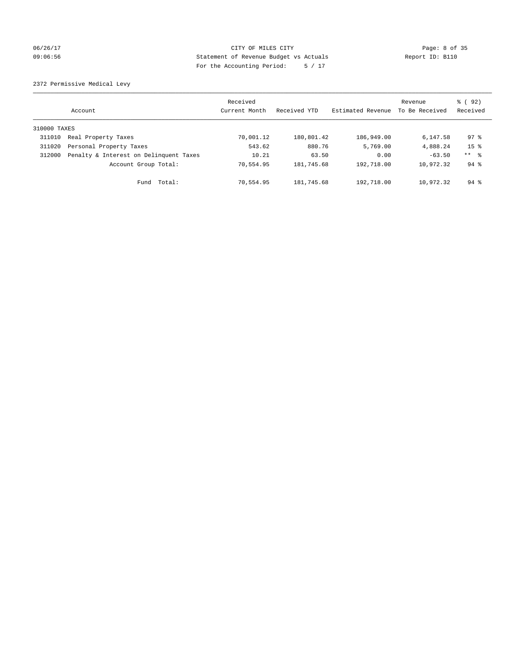## 06/26/17 CITY OF MILES CITY Page: 8 of 35 09:06:56 Statement of Revenue Budget vs Actuals Report ID: B110 For the Accounting Period: 5 / 17

2372 Permissive Medical Levy

|              | Account                                | Received<br>Current Month | Received YTD | Estimated Revenue | Revenue<br>To Be Received | 8 (92)<br>Received |
|--------------|----------------------------------------|---------------------------|--------------|-------------------|---------------------------|--------------------|
| 310000 TAXES |                                        |                           |              |                   |                           |                    |
| 311010       | Real Property Taxes                    | 70,001.12                 | 180,801.42   | 186,949.00        | 6,147.58                  | $97*$              |
| 311020       | Personal Property Taxes                | 543.62                    | 880.76       | 5,769.00          | 4,888.24                  | 15 <sup>8</sup>    |
| 312000       | Penalty & Interest on Delinquent Taxes | 10.21                     | 63.50        | 0.00              | $-63.50$                  | ** 8               |
|              | Account Group Total:                   | 70,554.95                 | 181,745.68   | 192,718.00        | 10,972.32                 | $94$ $%$           |
|              | Total:<br>Fund                         | 70.554.95                 | 181,745.68   | 192,718.00        | 10,972.32                 | $94$ $\frac{6}{3}$ |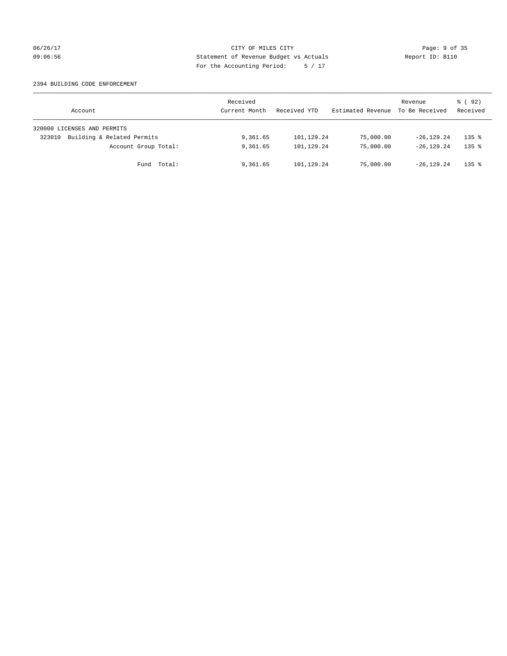## 06/26/17 CITY OF MILES CITY Page: 9 of 35 09:06:56 Statement of Revenue Budget vs Actuals Report ID: B110 For the Accounting Period: 5 / 17

## 2394 BUILDING CODE ENFORCEMENT

| Account                              | Received<br>Current Month | Received YTD | Estimated Revenue | Revenue<br>To Be Received | 8 (92)<br>Received  |
|--------------------------------------|---------------------------|--------------|-------------------|---------------------------|---------------------|
| 320000 LICENSES AND PERMITS          |                           |              |                   |                           |                     |
| Building & Related Permits<br>323010 | 9,361.65                  | 101,129.24   | 75,000.00         | $-26.129.24$              | $135$ $\frac{6}{5}$ |
| Account Group Total:                 | 9,361.65                  | 101,129.24   | 75,000.00         | $-26.129.24$              | $135$ $%$           |
| Fund Total:                          | 9,361.65                  | 101,129.24   | 75,000.00         | $-26.129.24$              | $135$ $%$           |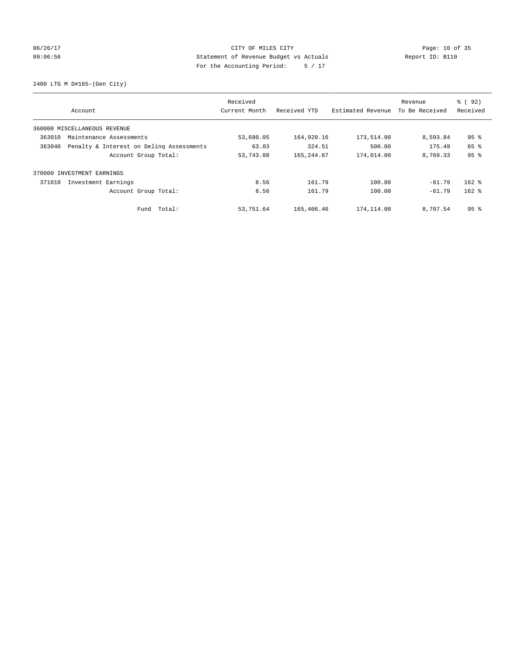## 06/26/17 Page: 10 of 35 09:06:56 Statement of Revenue Budget vs Actuals Report ID: B110 For the Accounting Period: 5 / 17

2400 LTG M D#165-(Gen City)

| Account                                            | Received<br>Current Month | Received YTD | Estimated Revenue | Revenue<br>To Be Received | % (92)<br>Received |
|----------------------------------------------------|---------------------------|--------------|-------------------|---------------------------|--------------------|
|                                                    |                           |              |                   |                           |                    |
| 360000 MISCELLANEOUS REVENUE                       |                           |              |                   |                           |                    |
| 363010<br>Maintenance Assessments                  | 53,680.05                 | 164,920.16   | 173,514.00        | 8,593.84                  | 95 <sup>8</sup>    |
| Penalty & Interest on Deling Assessments<br>363040 | 63.03                     | 324.51       | 500.00            | 175.49                    | 65 %               |
| Account Group Total:                               | 53,743.08                 | 165, 244.67  | 174,014.00        | 8,769.33                  | 95%                |
| 370000 INVESTMENT EARNINGS                         |                           |              |                   |                           |                    |
| 371010<br>Investment Earnings                      | 8.56                      | 161.79       | 100.00            | $-61.79$                  | $162$ %            |
| Account Group Total:                               | 8.56                      | 161.79       | 100.00            | $-61.79$                  | $162$ %            |
| Fund Total:                                        | 53,751.64                 | 165,406.46   | 174,114.00        | 8,707.54                  | 95 <sup>8</sup>    |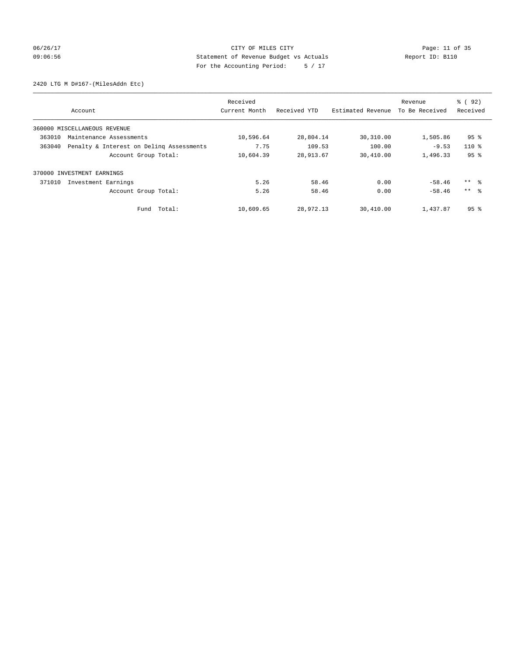## 06/26/17 Page: 11 of 35 09:06:56 Statement of Revenue Budget vs Actuals Report ID: B110 For the Accounting Period: 5 / 17

2420 LTG M D#167-(MilesAddn Etc)

|        |                                          | Received<br>Current Month | Received YTD | Estimated Revenue | Revenue<br>To Be Received | % (92)<br>Received |
|--------|------------------------------------------|---------------------------|--------------|-------------------|---------------------------|--------------------|
|        | Account                                  |                           |              |                   |                           |                    |
|        | 360000 MISCELLANEOUS REVENUE             |                           |              |                   |                           |                    |
| 363010 | Maintenance Assessments                  | 10,596.64                 | 28,804.14    | 30,310.00         | 1,505.86                  | $95$ %             |
| 363040 | Penalty & Interest on Deling Assessments | 7.75                      | 109.53       | 100.00            | $-9.53$                   | $110*$             |
|        | Account Group Total:                     | 10,604.39                 | 28,913.67    | 30,410.00         | 1,496.33                  | 95%                |
| 370000 | INVESTMENT EARNINGS                      |                           |              |                   |                           |                    |
| 371010 | Investment Earnings                      | 5.26                      | 58.46        | 0.00              | $-58.46$                  | ** 왕               |
|        | Account Group Total:                     | 5.26                      | 58.46        | 0.00              | $-58.46$                  | $***$ $\approx$    |
|        | Fund Total:                              | 10,609.65                 | 28,972.13    | 30,410.00         | 1,437.87                  | 95 <sup>8</sup>    |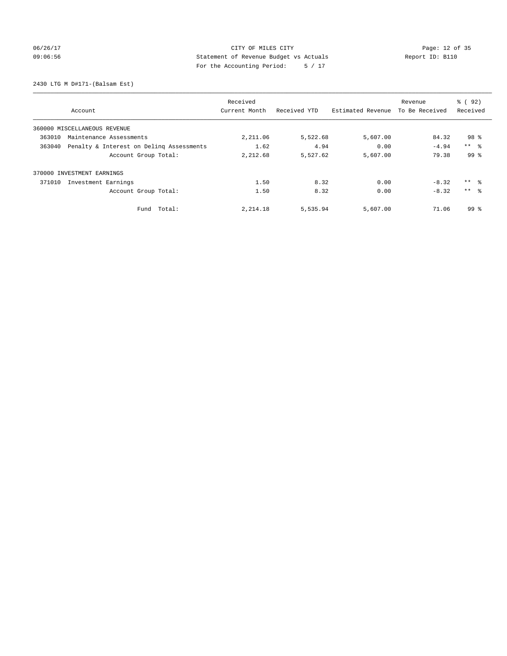## 06/26/17 Page: 12 of 35 09:06:56 Statement of Revenue Budget vs Actuals Report ID: B110 For the Accounting Period: 5 / 17

2430 LTG M D#171-(Balsam Est)

|                                                    | Received      |              |                   | Revenue        | % (92)          |
|----------------------------------------------------|---------------|--------------|-------------------|----------------|-----------------|
| Account                                            | Current Month | Received YTD | Estimated Revenue | To Be Received | Received        |
| 360000 MISCELLANEOUS REVENUE                       |               |              |                   |                |                 |
| 363010<br>Maintenance Assessments                  | 2,211.06      | 5,522.68     | 5,607.00          | 84.32          | 98 %            |
| 363040<br>Penalty & Interest on Deling Assessments | 1.62          | 4.94         | 0.00              | $-4.94$        | $***$ $ -$      |
| Account Group Total:                               | 2,212.68      | 5,527.62     | 5,607.00          | 79.38          | 99 <sup>8</sup> |
| 370000 INVESTMENT EARNINGS                         |               |              |                   |                |                 |
| Investment Earnings<br>371010                      | 1.50          | 8.32         | 0.00              | $-8.32$        | ** 왕            |
| Account Group Total:                               | 1.50          | 8.32         | 0.00              | $-8.32$        | $***$ $\approx$ |
| Total:<br>Fund                                     | 2,214.18      | 5,535.94     | 5,607.00          | 71.06          | 99 <sup>8</sup> |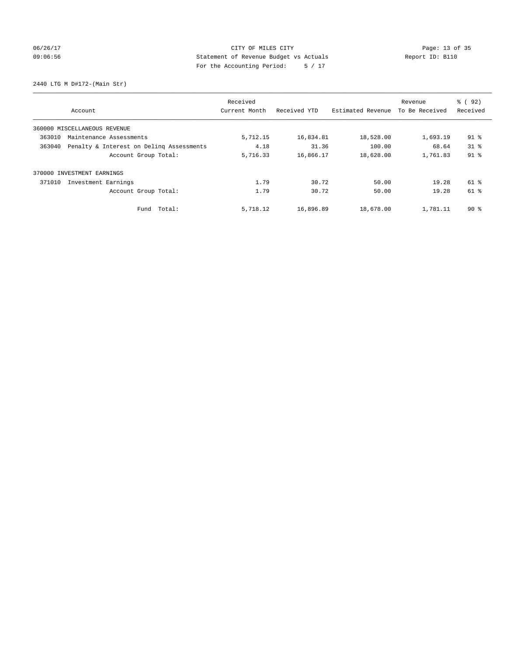## 06/26/17 Page: 13 of 35 09:06:56 Statement of Revenue Budget vs Actuals Report ID: B110 For the Accounting Period: 5 / 17

2440 LTG M D#172-(Main Str)

|                                                    | Received      |              |                   | Revenue        | % (92)   |
|----------------------------------------------------|---------------|--------------|-------------------|----------------|----------|
| Account                                            | Current Month | Received YTD | Estimated Revenue | To Be Received | Received |
| 360000 MISCELLANEOUS REVENUE                       |               |              |                   |                |          |
| 363010<br>Maintenance Assessments                  | 5,712.15      | 16,834.81    | 18,528.00         | 1,693.19       | $91$ %   |
| Penalty & Interest on Deling Assessments<br>363040 | 4.18          | 31.36        | 100.00            | 68.64          | $31*$    |
| Account Group Total:                               | 5,716.33      | 16,866.17    | 18,628.00         | 1,761.83       | $91$ %   |
| INVESTMENT EARNINGS<br>370000                      |               |              |                   |                |          |
| 371010<br>Investment Earnings                      | 1.79          | 30.72        | 50.00             | 19.28          | 61 %     |
| Account Group Total:                               | 1.79          | 30.72        | 50.00             | 19.28          | 61 %     |
| Fund Total:                                        | 5,718.12      | 16,896.89    | 18,678.00         | 1,781.11       | 90%      |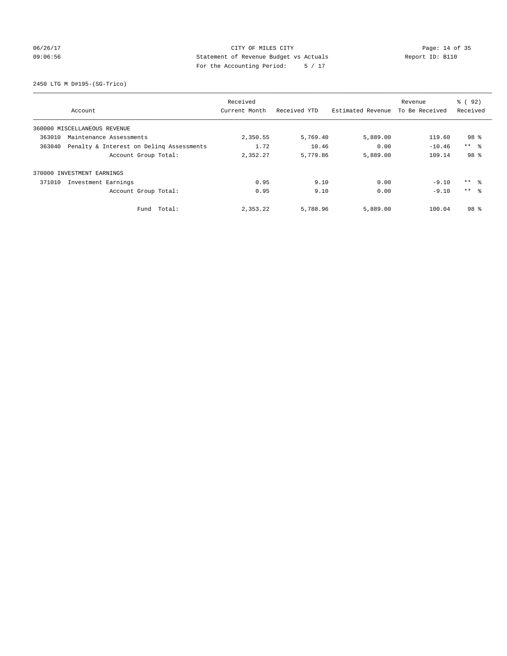## 06/26/17 Page: 14 of 35 09:06:56 Statement of Revenue Budget vs Actuals Report ID: B110 For the Accounting Period: 5 / 17

2450 LTG M D#195-(SG-Trico)

|                              |                                          | Received      |              |                   | Revenue        | % ( 92 )        |
|------------------------------|------------------------------------------|---------------|--------------|-------------------|----------------|-----------------|
| Account                      |                                          | Current Month | Received YTD | Estimated Revenue | To Be Received | Received        |
| 360000 MISCELLANEOUS REVENUE |                                          |               |              |                   |                |                 |
| 363010                       | Maintenance Assessments                  | 2,350.55      | 5,769.40     | 5,889.00          | 119.60         | 98 %            |
| 363040                       | Penalty & Interest on Deling Assessments | 1.72          | 10.46        | 0.00              | $-10.46$       | $***$ $ -$      |
|                              | Account Group Total:                     | 2,352.27      | 5,779.86     | 5,889.00          | 109.14         | 98 %            |
| 370000 INVESTMENT EARNINGS   |                                          |               |              |                   |                |                 |
| 371010                       | Investment Earnings                      | 0.95          | 9.10         | 0.00              | $-9.10$        | $***$ $ -$      |
|                              | Account Group Total:                     | 0.95          | 9.10         | 0.00              | $-9.10$        | $***$ $\approx$ |
|                              | Fund Total:                              | 2,353.22      | 5,788.96     | 5,889.00          | 100.04         | 98 %            |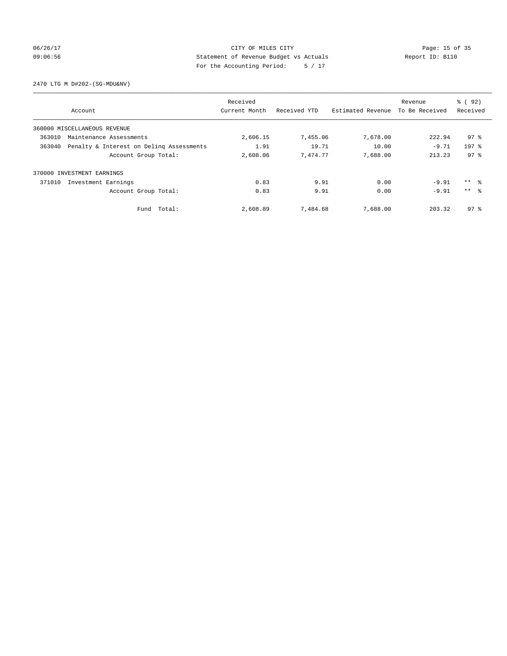## 06/26/17 Page: 15 of 35 09:06:56 Statement of Revenue Budget vs Actuals Report ID: B110 For the Accounting Period: 5 / 17

2470 LTG M D#202-(SG-MDU&NV)

|                                                    |             | Received      |              |                   | Revenue        | % (92)          |
|----------------------------------------------------|-------------|---------------|--------------|-------------------|----------------|-----------------|
| Account                                            |             | Current Month | Received YTD | Estimated Revenue | To Be Received | Received        |
| 360000 MISCELLANEOUS REVENUE                       |             |               |              |                   |                |                 |
| 363010<br>Maintenance Assessments                  |             | 2,606.15      | 7,455.06     | 7,678.00          | 222.94         | 97 <sup>8</sup> |
| Penalty & Interest on Deling Assessments<br>363040 |             | 1.91          | 19.71        | 10.00             | $-9.71$        | $197$ %         |
| Account Group Total:                               |             | 2,608.06      | 7,474.77     | 7,688.00          | 213.23         | 97 <sup>8</sup> |
| INVESTMENT EARNINGS<br>370000                      |             |               |              |                   |                |                 |
| 371010<br>Investment Earnings                      |             | 0.83          | 9.91         | 0.00              | $-9.91$        | ** 왕            |
| Account Group Total:                               |             | 0.83          | 9.91         | 0.00              | $-9.91$        | $***$ $\approx$ |
|                                                    | Fund Total: | 2,608.89      | 7,484.68     | 7,688.00          | 203.32         | 97 <sub>8</sub> |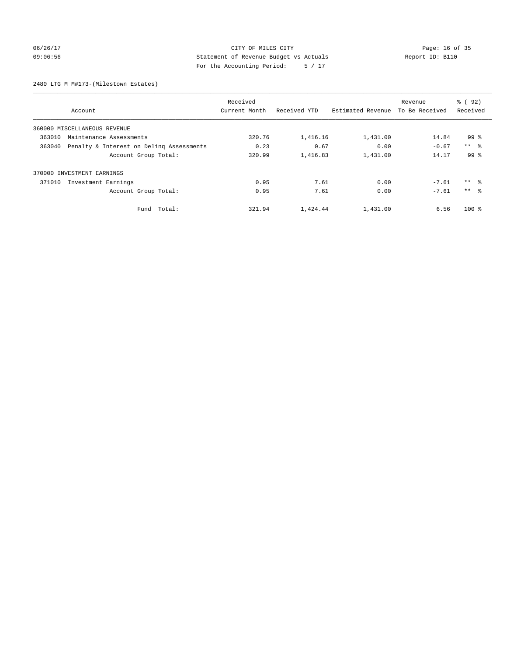## 06/26/17 Page: 16 of 35 09:06:56 Statement of Revenue Budget vs Actuals Report ID: B110 For the Accounting Period: 5 / 17

2480 LTG M M#173-(Milestown Estates)

|                                                    | Received      |              |                   | Revenue        | % ( 92 )        |
|----------------------------------------------------|---------------|--------------|-------------------|----------------|-----------------|
| Account                                            | Current Month | Received YTD | Estimated Revenue | To Be Received | Received        |
| 360000 MISCELLANEOUS REVENUE                       |               |              |                   |                |                 |
| 363010<br>Maintenance Assessments                  | 320.76        | 1,416.16     | 1,431.00          | 14.84          | 99 %            |
| 363040<br>Penalty & Interest on Deling Assessments | 0.23          | 0.67         | 0.00              | $-0.67$        | $***$ $ -$      |
| Account Group Total:                               | 320.99        | 1,416.83     | 1,431.00          | 14.17          | 99 <sup>8</sup> |
| 370000 INVESTMENT EARNINGS                         |               |              |                   |                |                 |
| 371010<br>Investment Earnings                      | 0.95          | 7.61         | 0.00              | $-7.61$        | ** 왕            |
| Account Group Total:                               | 0.95          | 7.61         | 0.00              | $-7.61$        | $***$ $\approx$ |
| Total:<br>Fund                                     | 321.94        | 1,424.44     | 1,431.00          | 6.56           | $100*$          |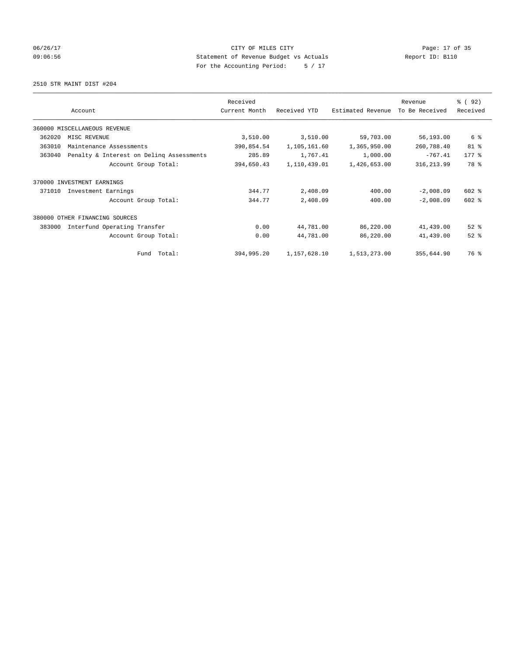## 06/26/17 Page: 17 of 35 09:06:56 Statement of Revenue Budget vs Actuals Report ID: B110 For the Accounting Period: 5 / 17

#### 2510 STR MAINT DIST #204

|        |                                          | Received      |              |                   | Revenue        | 8 (92)    |
|--------|------------------------------------------|---------------|--------------|-------------------|----------------|-----------|
|        | Account                                  | Current Month | Received YTD | Estimated Revenue | To Be Received | Received  |
|        | 360000 MISCELLANEOUS REVENUE             |               |              |                   |                |           |
| 362020 | MISC REVENUE                             | 3,510.00      | 3,510.00     | 59,703.00         | 56,193.00      | 6 %       |
| 363010 | Maintenance Assessments                  | 390,854.54    | 1,105,161.60 | 1,365,950.00      | 260,788.40     | 81 %      |
| 363040 | Penalty & Interest on Deling Assessments | 285.89        | 1,767.41     | 1,000.00          | $-767.41$      | $177$ $%$ |
|        | Account Group Total:                     | 394,650.43    | 1,110,439.01 | 1,426,653.00      | 316, 213.99    | 78 %      |
| 370000 | INVESTMENT EARNINGS                      |               |              |                   |                |           |
| 371010 | Investment Earnings                      | 344.77        | 2,408.09     | 400.00            | $-2,008.09$    | 602 %     |
|        | Account Group Total:                     | 344.77        | 2,408.09     | 400.00            | $-2,008.09$    | $602$ $%$ |
| 380000 | OTHER FINANCING SOURCES                  |               |              |                   |                |           |
| 383000 | Interfund Operating Transfer             | 0.00          | 44,781.00    | 86,220.00         | 41,439.00      | $52$ $%$  |
|        | Account Group Total:                     | 0.00          | 44,781.00    | 86,220.00         | 41,439.00      | $52$ $%$  |
|        | Fund Total:                              | 394,995.20    | 1,157,628.10 | 1,513,273.00      | 355,644.90     | 76 %      |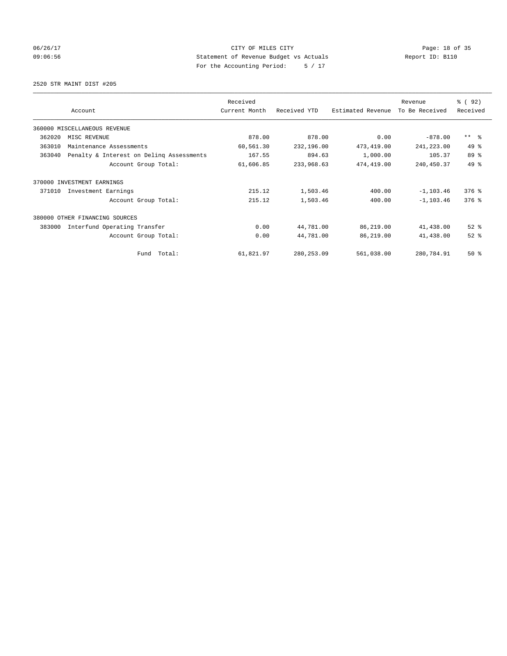## 06/26/17 Page: 18 of 35 09:06:56 Statement of Revenue Budget vs Actuals Report ID: B110 For the Accounting Period: 5 / 17

2520 STR MAINT DIST #205

|        |                                          | Received      |              |                   | Revenue        | 8 (92)                  |
|--------|------------------------------------------|---------------|--------------|-------------------|----------------|-------------------------|
|        | Account                                  | Current Month | Received YTD | Estimated Revenue | To Be Received | Received                |
|        | 360000 MISCELLANEOUS REVENUE             |               |              |                   |                |                         |
| 362020 | MISC REVENUE                             | 878.00        | 878.00       | 0.00              | $-878.00$      | $***$ $=$ $\frac{6}{5}$ |
| 363010 | Maintenance Assessments                  | 60,561.30     | 232,196.00   | 473, 419.00       | 241,223.00     | 49 %                    |
| 363040 | Penalty & Interest on Deling Assessments | 167.55        | 894.63       | 1,000.00          | 105.37         | 89 %                    |
|        | Account Group Total:                     | 61,606.85     | 233,968.63   | 474,419.00        | 240, 450.37    | 49 %                    |
| 370000 | INVESTMENT EARNINGS                      |               |              |                   |                |                         |
| 371010 | Investment Earnings                      | 215.12        | 1,503.46     | 400.00            | $-1, 103.46$   | $376$ $%$               |
|        | Account Group Total:                     | 215.12        | 1,503.46     | 400.00            | $-1, 103.46$   | $376$ $%$               |
|        | 380000 OTHER FINANCING SOURCES           |               |              |                   |                |                         |
| 383000 | Interfund Operating Transfer             | 0.00          | 44,781.00    | 86,219.00         | 41,438.00      | $52$ $%$                |
|        | Account Group Total:                     | 0.00          | 44,781.00    | 86,219.00         | 41,438.00      | $52$ $%$                |
|        | Fund Total:                              | 61,821.97     | 280, 253.09  | 561,038.00        | 280,784.91     | $50*$                   |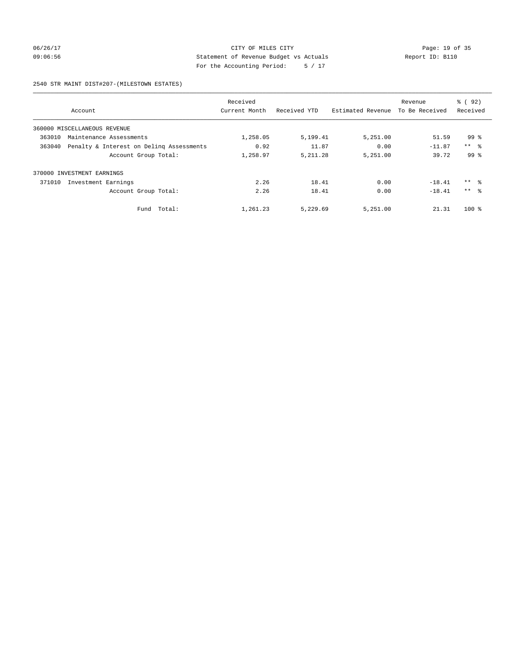06/26/17 Page: 19 of 35 09:06:56 Statement of Revenue Budget vs Actuals Report ID: B110 For the Accounting Period: 5 / 17

#### 2540 STR MAINT DIST#207-(MILESTOWN ESTATES)

|        |                                          | Received      |              |                   | Revenue        | 8 (92)              |
|--------|------------------------------------------|---------------|--------------|-------------------|----------------|---------------------|
|        | Account                                  | Current Month | Received YTD | Estimated Revenue | To Be Received | Received            |
|        | 360000 MISCELLANEOUS REVENUE             |               |              |                   |                |                     |
| 363010 | Maintenance Assessments                  | 1,258.05      | 5,199.41     | 5,251.00          | 51.59          | $99*$               |
| 363040 | Penalty & Interest on Deling Assessments | 0.92          | 11.87        | 0.00              | $-11.87$       | $***$ %             |
|        | Account Group Total:                     | 1,258.97      | 5, 211.28    | 5,251.00          | 39.72          | 99 <sup>8</sup>     |
| 370000 | INVESTMENT EARNINGS                      |               |              |                   |                |                     |
| 371010 | Investment Earnings                      | 2.26          | 18.41        | 0.00              | $-18.41$       | $***$ $\frac{6}{3}$ |
|        | Account Group Total:                     | 2.26          | 18.41        | 0.00              | $-18.41$       | $***$ $\approx$     |
|        | Fund Total:                              | 1,261.23      | 5,229.69     | 5,251.00          | 21.31          | $100$ %             |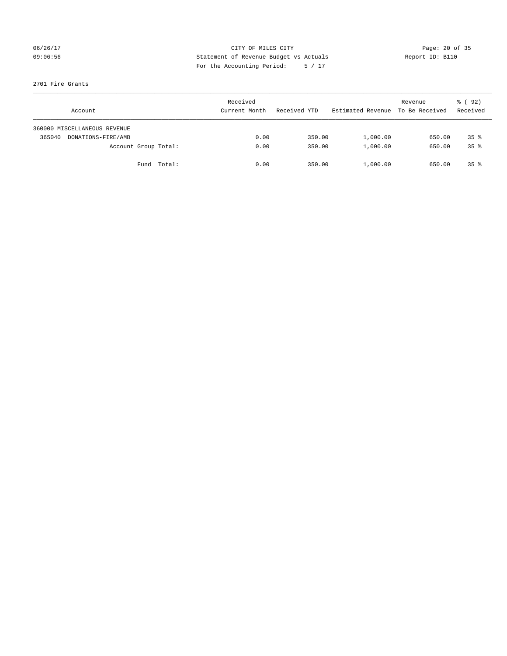## 06/26/17 Page: 20 of 35 09:06:56 Statement of Revenue Budget vs Actuals Report ID: B110 For the Accounting Period: 5 / 17

## 2701 Fire Grants

|        | Account                      |             | Received<br>Current Month | Received YTD | Estimated Revenue | Revenue<br>To Be Received | 8 (92)<br>Received |
|--------|------------------------------|-------------|---------------------------|--------------|-------------------|---------------------------|--------------------|
|        | 360000 MISCELLANEOUS REVENUE |             |                           |              |                   |                           |                    |
| 365040 | DONATIONS-FIRE/AMB           |             | 0.00                      | 350.00       | 1,000.00          | 650.00                    | $35*$              |
|        | Account Group Total:         |             | 0.00                      | 350.00       | 1,000.00          | 650.00                    | $35*$              |
|        |                              | Fund Total: | 0.00                      | 350.00       | 1,000.00          | 650.00                    | $35*$              |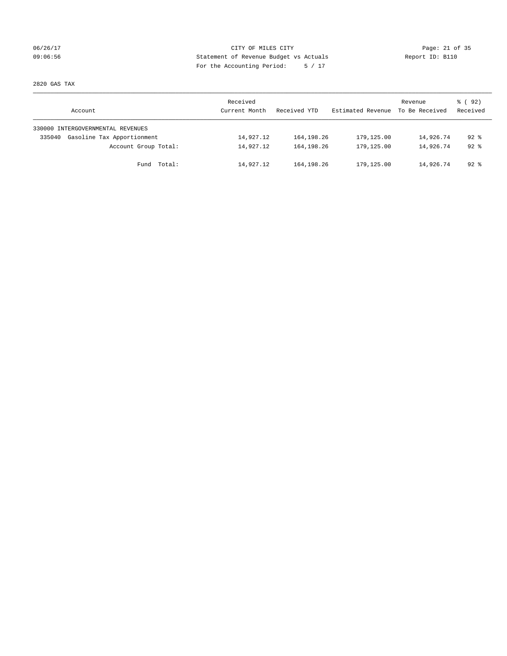## 06/26/17 Page: 21 of 35 09:06:56 Statement of Revenue Budget vs Actuals Report ID: B110 For the Accounting Period: 5 / 17

2820 GAS TAX

| Account                              | Received<br>Current Month | Received YTD | Estimated Revenue | Revenue<br>To Be Received | 8 (92)<br>Received |
|--------------------------------------|---------------------------|--------------|-------------------|---------------------------|--------------------|
| 330000 INTERGOVERNMENTAL REVENUES    |                           |              |                   |                           |                    |
| Gasoline Tax Apportionment<br>335040 | 14,927.12                 | 164,198.26   | 179,125.00        | 14,926.74                 | $92*$              |
| Account Group Total:                 | 14,927.12                 | 164, 198, 26 | 179,125.00        | 14,926.74                 | $92*$              |
| Fund Total:                          | 14,927.12                 | 164,198.26   | 179,125.00        | 14,926.74                 | 92 %               |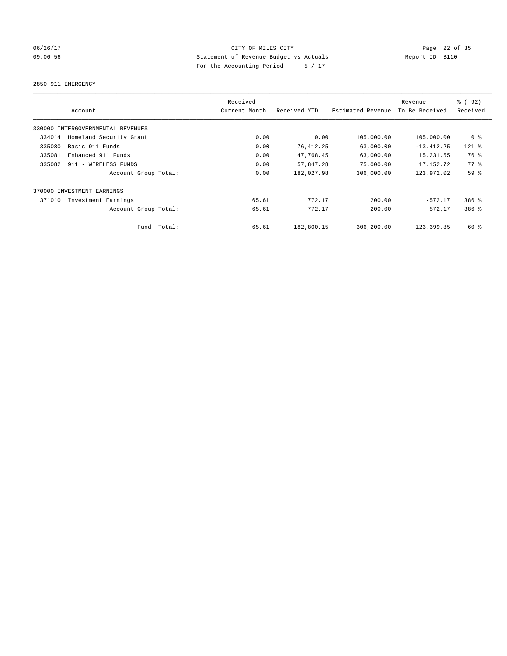## 06/26/17 Page: 22 of 35 09:06:56 Statement of Revenue Budget vs Actuals Report ID: B110 For the Accounting Period: 5 / 17

#### 2850 911 EMERGENCY

|        |                                   |        | Received      |              |                   | Revenue        | % (92)         |
|--------|-----------------------------------|--------|---------------|--------------|-------------------|----------------|----------------|
|        | Account                           |        | Current Month | Received YTD | Estimated Revenue | To Be Received | Received       |
|        | 330000 INTERGOVERNMENTAL REVENUES |        |               |              |                   |                |                |
| 334014 | Homeland Security Grant           |        | 0.00          | 0.00         | 105,000.00        | 105,000.00     | 0 <sup>8</sup> |
| 335080 | Basic 911 Funds                   |        | 0.00          | 76, 412.25   | 63,000.00         | $-13, 412.25$  | $121$ $%$      |
| 335081 | Enhanced 911 Funds                |        | 0.00          | 47,768.45    | 63,000.00         | 15, 231.55     | 76 %           |
| 335082 | 911 - WIRELESS FUNDS              |        | 0.00          | 57,847.28    | 75,000.00         | 17, 152. 72    | 77.8           |
|        | Account Group Total:              |        | 0.00          | 182,027.98   | 306,000.00        | 123,972.02     | 59 %           |
|        | 370000 INVESTMENT EARNINGS        |        |               |              |                   |                |                |
| 371010 | Investment Earnings               |        | 65.61         | 772.17       | 200.00            | $-572.17$      | $386$ $%$      |
|        | Account Group Total:              |        | 65.61         | 772.17       | 200.00            | $-572.17$      | 386 %          |
|        | Fund                              | Total: | 65.61         | 182,800.15   | 306,200.00        | 123,399.85     | $60*$          |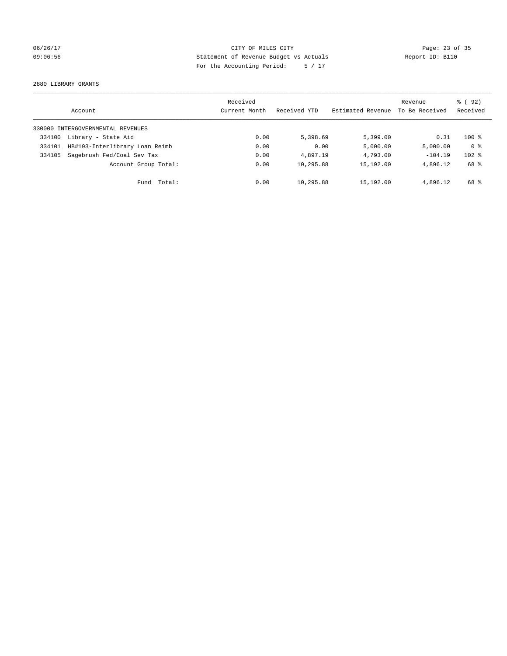## 06/26/17 Page: 23 of 35 09:06:56 Statement of Revenue Budget vs Actuals Report ID: B110 For the Accounting Period: 5 / 17

2880 LIBRARY GRANTS

|        | Account                           | Received<br>Current Month | Received YTD | Estimated Revenue | Revenue<br>To Be Received | % ( 92 )<br>Received |
|--------|-----------------------------------|---------------------------|--------------|-------------------|---------------------------|----------------------|
|        | 330000 INTERGOVERNMENTAL REVENUES |                           |              |                   |                           |                      |
| 334100 | Library - State Aid               | 0.00                      | 5,398.69     | 5,399.00          | 0.31                      | $100*$               |
| 334101 | HB#193-Interlibrary Loan Reimb    | 0.00                      | 0.00         | 5,000.00          | 5,000.00                  | 0 <sup>8</sup>       |
| 334105 | Sagebrush Fed/Coal Sev Tax        | 0.00                      | 4,897.19     | 4,793.00          | $-104.19$                 | $102$ %              |
|        | Account Group Total:              | 0.00                      | 10,295.88    | 15,192.00         | 4,896.12                  | 68 %                 |
|        | Total:<br>Fund                    | 0.00                      | 10,295.88    | 15,192.00         | 4,896.12                  | 68 %                 |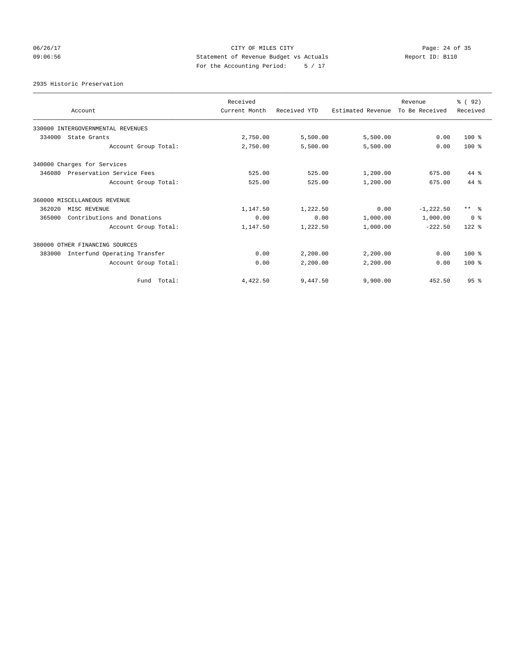## 06/26/17 Page: 24 of 35 09:06:56 Statement of Revenue Budget vs Actuals Report ID: B110 For the Accounting Period: 5 / 17

2935 Historic Preservation

|                                        | Received      |              |                   |                           | 8 (92)          |
|----------------------------------------|---------------|--------------|-------------------|---------------------------|-----------------|
| Account                                | Current Month | Received YTD | Estimated Revenue | Revenue<br>To Be Received | Received        |
| 330000 INTERGOVERNMENTAL REVENUES      |               |              |                   |                           |                 |
| 334000<br>State Grants                 | 2,750.00      | 5,500.00     | 5,500.00          | 0.00                      | $100*$          |
| Account Group Total:                   | 2,750.00      | 5,500.00     | 5,500.00          | 0.00                      | $100*$          |
| 340000 Charges for Services            |               |              |                   |                           |                 |
| 346080<br>Preservation Service Fees    | 525.00        | 525.00       | 1,200.00          | 675.00                    | 44 %            |
| Account Group Total:                   | 525.00        | 525.00       | 1,200.00          | 675.00                    | $44$ $%$        |
| 360000 MISCELLANEOUS REVENUE           |               |              |                   |                           |                 |
| 362020<br>MISC REVENUE                 | 1,147.50      | 1,222.50     | 0.00              | $-1, 222.50$              | $***$ $\approx$ |
| Contributions and Donations<br>365000  | 0.00          | 0.00         | 1,000.00          | 1,000.00                  | 0 <sup>8</sup>  |
| Account Group Total:                   | 1,147.50      | 1,222.50     | 1,000.00          | $-222.50$                 | $122$ $%$       |
| 380000 OTHER FINANCING SOURCES         |               |              |                   |                           |                 |
| Interfund Operating Transfer<br>383000 | 0.00          | 2,200.00     | 2,200.00          | 0.00                      | $100*$          |
| Account Group Total:                   | 0.00          | 2,200.00     | 2,200.00          | 0.00                      | $100*$          |
| Fund Total:                            | 4,422.50      | 9,447.50     | 9,900.00          | 452.50                    | 95%             |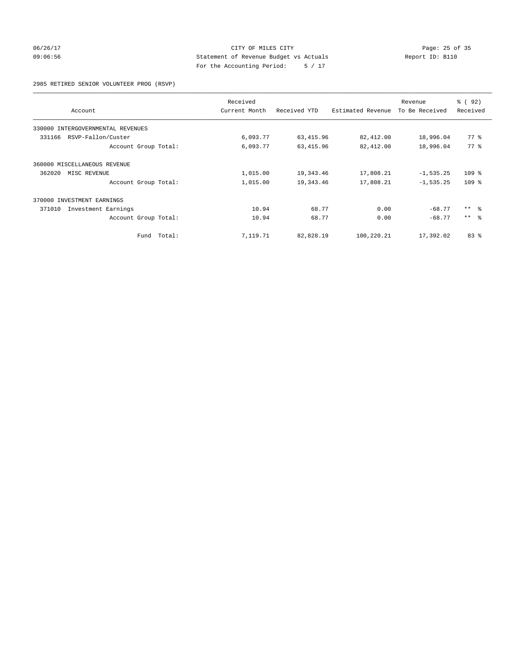## 06/26/17 Page: 25 of 35 09:06:56 Statement of Revenue Budget vs Actuals Report ID: B110 For the Accounting Period: 5 / 17

## 2985 RETIRED SENIOR VOLUNTEER PROG (RSVP)

|                                      | Received      |              |                   | Revenue        | % (92)          |
|--------------------------------------|---------------|--------------|-------------------|----------------|-----------------|
| Account                              | Current Month | Received YTD | Estimated Revenue | To Be Received | Received        |
| INTERGOVERNMENTAL REVENUES<br>330000 |               |              |                   |                |                 |
| RSVP-Fallon/Custer<br>331166         | 6,093.77      | 63, 415.96   | 82,412.00         | 18,996.04      | $77*$           |
| Account Group Total:                 | 6,093.77      | 63, 415.96   | 82,412.00         | 18,996.04      | 77.8            |
| 360000 MISCELLANEOUS REVENUE         |               |              |                   |                |                 |
| 362020<br>MISC REVENUE               | 1,015.00      | 19,343.46    | 17,808.21         | $-1, 535.25$   | $109$ %         |
| Account Group Total:                 | 1,015.00      | 19,343.46    | 17,808.21         | $-1, 535.25$   | $109$ %         |
| 370000<br>INVESTMENT EARNINGS        |               |              |                   |                |                 |
| 371010<br>Investment Earnings        | 10.94         | 68.77        | 0.00              | $-68.77$       | $***$ $\approx$ |
| Account Group Total:                 | 10.94         | 68.77        | 0.00              | $-68.77$       | $***$ $\approx$ |
| Fund Total:                          | 7,119.71      | 82,828.19    | 100,220.21        | 17,392.02      | 83%             |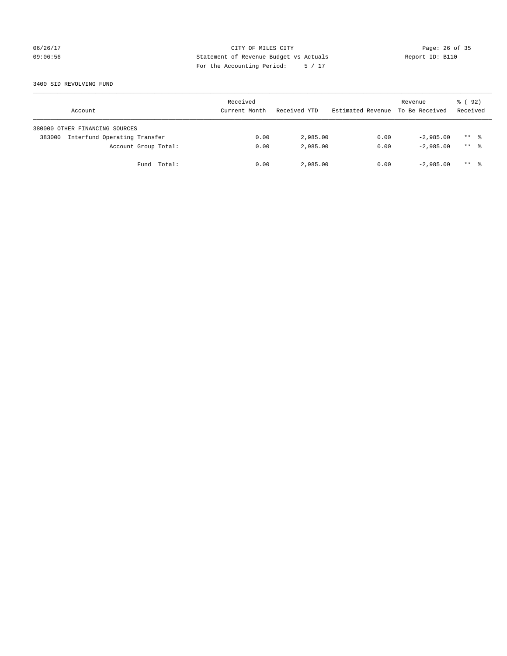## 06/26/17 Page: 26 of 35 09:06:56 Statement of Revenue Budget vs Actuals Report ID: B110 For the Accounting Period: 5 / 17

### 3400 SID REVOLVING FUND

| Account                                | Received<br>Current Month | Received YTD | Estimated Revenue | Revenue<br>To Be Received | 8 (92)<br>Received |
|----------------------------------------|---------------------------|--------------|-------------------|---------------------------|--------------------|
| 380000 OTHER FINANCING SOURCES         |                           |              |                   |                           |                    |
| Interfund Operating Transfer<br>383000 | 0.00                      | 2,985.00     | 0.00              | $-2.985.00$               | $***$ %            |
| Account Group Total:                   | 0.00                      | 2,985.00     | 0.00              | $-2.985.00$               | $***$ %            |
| Fund Total:                            | 0.00                      | 2,985.00     | 0.00              | $-2,985.00$               | $***$ %            |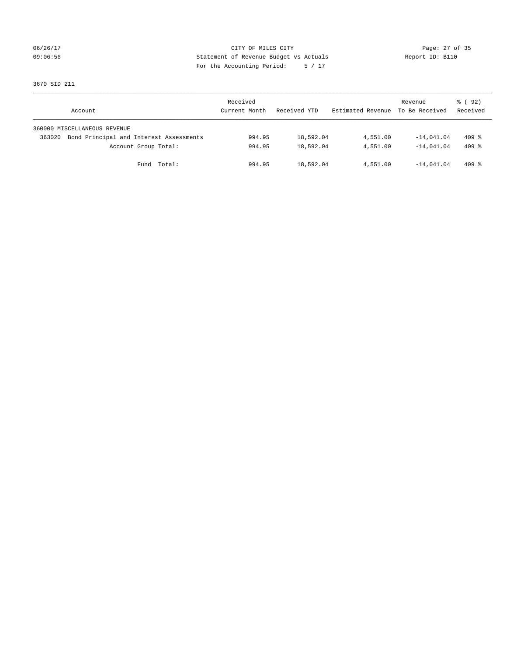06/26/17 Page: 27 of 35 09:06:56 Statement of Revenue Budget vs Actuals Report ID: B110 For the Accounting Period: 5 / 17

3670 SID 211

| Account                                           | Received<br>Current Month | Received YTD | Estimated Revenue | Revenue<br>To Be Received | 8 (92)<br>Received  |
|---------------------------------------------------|---------------------------|--------------|-------------------|---------------------------|---------------------|
| 360000 MISCELLANEOUS REVENUE                      |                           |              |                   |                           |                     |
| Bond Principal and Interest Assessments<br>363020 | 994.95                    | 18,592.04    | 4,551.00          | $-14,041.04$              | $409$ $\frac{8}{3}$ |
| Account Group Total:                              | 994.95                    | 18,592.04    | 4,551.00          | $-14.041.04$              | $409$ $%$           |
| Total:<br>Fund                                    | 994.95                    | 18,592.04    | 4,551.00          | $-14.041.04$              | $409$ %             |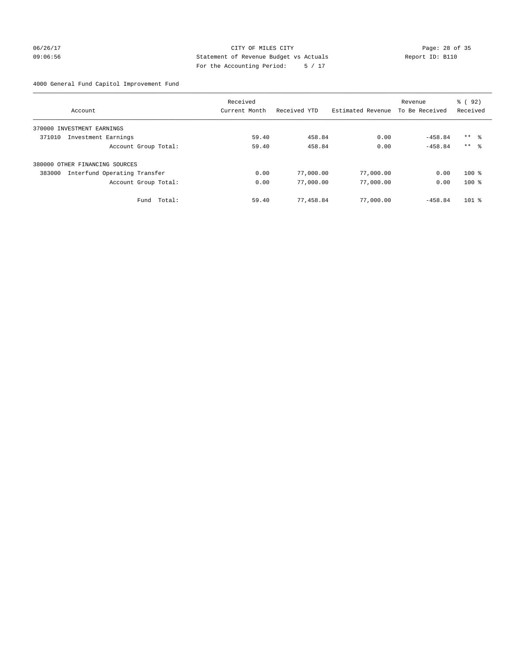06/26/17 Page: 28 of 35 09:06:56 Statement of Revenue Budget vs Actuals Report ID: B110 For the Accounting Period: 5 / 17

# 4000 General Fund Capitol Improvement Fund

|                                        |                      | Received      |              |                   | Revenue        | 8 (92)              |
|----------------------------------------|----------------------|---------------|--------------|-------------------|----------------|---------------------|
| Account                                |                      | Current Month | Received YTD | Estimated Revenue | To Be Received | Received            |
| 370000 INVESTMENT EARNINGS             |                      |               |              |                   |                |                     |
| Investment Earnings<br>371010          |                      | 59.40         | 458.84       | 0.00              | $-458.84$      | $***$ $\frac{6}{3}$ |
|                                        | Account Group Total: | 59.40         | 458.84       | 0.00              | $-458.84$      | $***$ $\approx$     |
| 380000 OTHER FINANCING SOURCES         |                      |               |              |                   |                |                     |
| Interfund Operating Transfer<br>383000 |                      | 0.00          | 77,000.00    | 77,000.00         | 0.00           | $100*$              |
|                                        | Account Group Total: | 0.00          | 77,000.00    | 77,000.00         | 0.00           | $100*$              |
|                                        | Total:<br>Fund       | 59.40         | 77,458.84    | 77,000.00         | $-458.84$      | $101$ %             |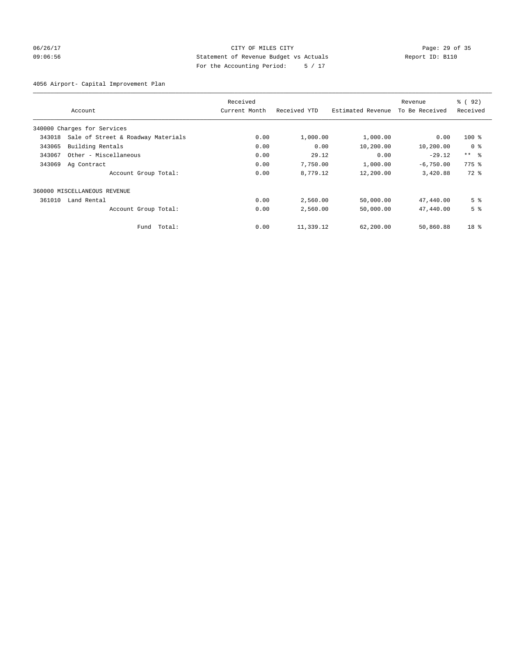## 06/26/17 Page: 29 of 35 09:06:56 Statement of Revenue Budget vs Actuals Report ID: B110 For the Accounting Period: 5 / 17

4056 Airport- Capital Improvement Plan

|        |                                    | Received      |              |                   | Revenue        | % (92)              |
|--------|------------------------------------|---------------|--------------|-------------------|----------------|---------------------|
|        | Account                            | Current Month | Received YTD | Estimated Revenue | To Be Received | Received            |
|        | 340000 Charges for Services        |               |              |                   |                |                     |
| 343018 | Sale of Street & Roadway Materials | 0.00          | 1,000.00     | 1,000.00          | 0.00           | $100$ %             |
| 343065 | Building Rentals                   | 0.00          | 0.00         | 10,200.00         | 10,200.00      | 0 <sup>8</sup>      |
| 343067 | Other - Miscellaneous              | 0.00          | 29.12        | 0.00              | $-29.12$       | $***$ $\approx$     |
| 343069 | Ag Contract                        | 0.00          | 7,750.00     | 1,000.00          | $-6,750.00$    | $775$ $\frac{6}{5}$ |
|        | Account Group Total:               | 0.00          | 8,779.12     | 12,200.00         | 3,420.88       | $72$ $%$            |
|        | 360000 MISCELLANEOUS REVENUE       |               |              |                   |                |                     |
| 361010 | Land Rental                        | 0.00          | 2,560.00     | 50,000.00         | 47,440.00      | 5 <sup>8</sup>      |
|        | Account Group Total:               | 0.00          | 2,560.00     | 50,000.00         | 47,440.00      | 5 <sup>°</sup>      |
|        | Total:<br>Fund                     | 0.00          | 11,339.12    | 62,200.00         | 50,860.88      | 18 <sup>8</sup>     |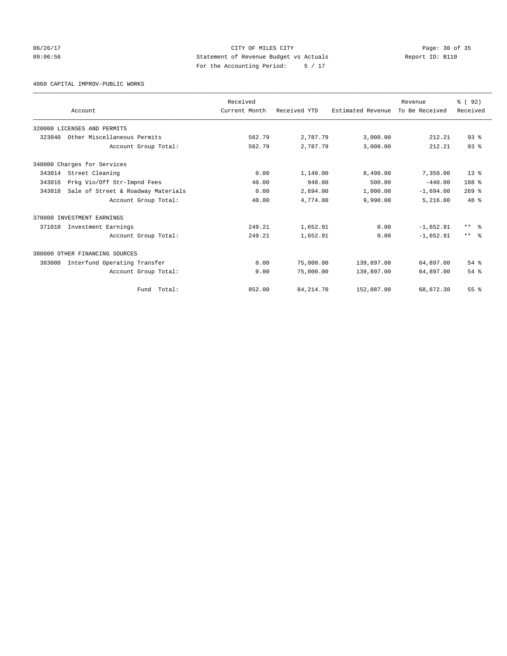06/26/17 Page: 30 of 35 09:06:56 Statement of Revenue Budget vs Actuals Report ID: B110 For the Accounting Period: 5 / 17

4060 CAPITAL IMPROV-PUBLIC WORKS

|        |                                    | Received      |              |                   | Revenue        | 8 (92)          |
|--------|------------------------------------|---------------|--------------|-------------------|----------------|-----------------|
|        | Account                            | Current Month | Received YTD | Estimated Revenue | To Be Received | Received        |
|        | 320000 LICENSES AND PERMITS        |               |              |                   |                |                 |
| 323040 | Other Miscellaneous Permits        | 562.79        | 2,787.79     | 3,000.00          | 212.21         | $93$ $%$        |
|        | Account Group Total:               | 562.79        | 2,787.79     | 3,000.00          | 212.21         | 93 <sup>8</sup> |
|        | 340000 Charges for Services        |               |              |                   |                |                 |
| 343014 | Street Cleaning                    | 0.00          | 1,140.00     | 8,490.00          | 7,350.00       | $13*$           |
| 343016 | Prkg Vio/Off Str-Impnd Fees        | 40.00         | 940.00       | 500.00            | $-440.00$      | 188 %           |
| 343018 | Sale of Street & Roadway Materials | 0.00          | 2,694.00     | 1,000.00          | $-1,694.00$    | $269$ $%$       |
|        | Account Group Total:               | 40.00         | 4,774.00     | 9,990.00          | 5,216.00       | $48*$           |
|        | 370000 INVESTMENT EARNINGS         |               |              |                   |                |                 |
| 371010 | Investment Earnings                | 249.21        | 1,652.91     | 0.00              | $-1,652.91$    | $***$ $\approx$ |
|        | Account Group Total:               | 249.21        | 1,652.91     | 0.00              | $-1.652.91$    | $***$ $\approx$ |
|        | 380000 OTHER FINANCING SOURCES     |               |              |                   |                |                 |
| 383000 | Interfund Operating Transfer       | 0.00          | 75,000.00    | 139,897.00        | 64,897.00      | 54%             |
|        | Account Group Total:               | 0.00          | 75,000.00    | 139,897.00        | 64,897.00      | 54 %            |
|        | Total:<br>Fund                     | 852.00        | 84, 214.70   | 152,887.00        | 68,672.30      | 55%             |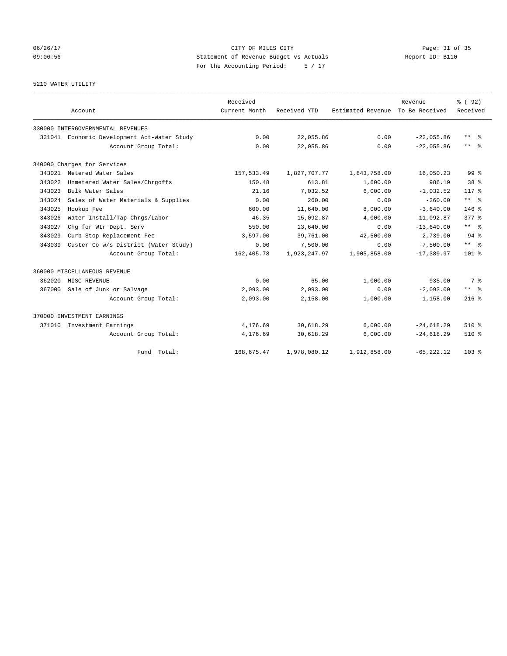## 06/26/17 Page: 31 of 35 09:06:56 Statement of Revenue Budget vs Actuals Report ID: B110 For the Accounting Period: 5 / 17

5210 WATER UTILITY

|        | Account                                     | Received<br>Current Month | Received YTD | Estimated Revenue | Revenue<br>To Be Received | % (92)<br>Received  |
|--------|---------------------------------------------|---------------------------|--------------|-------------------|---------------------------|---------------------|
|        | 330000 INTERGOVERNMENTAL REVENUES           |                           |              |                   |                           |                     |
|        |                                             |                           | 22,055.86    | 0.00              | $-22,055.86$              | $\star\star$<br>- 옹 |
|        | 331041 Economic Development Act-Water Study | 0.00                      |              |                   |                           |                     |
|        | Account Group Total:                        | 0.00                      | 22,055.86    | 0.00              | $-22,055.86$              | ** %                |
|        | 340000 Charges for Services                 |                           |              |                   |                           |                     |
| 343021 | Metered Water Sales                         | 157,533.49                | 1,827,707.77 | 1,843,758.00      | 16,050.23                 | $99*$               |
| 343022 | Unmetered Water Sales/Chrgoffs              | 150.48                    | 613.81       | 1,600.00          | 986.19                    | 38 %                |
| 343023 | Bulk Water Sales                            | 21.16                     | 7,032.52     | 6,000.00          | $-1,032.52$               | $117*$              |
| 343024 | Sales of Water Materials & Supplies         | 0.00                      | 260.00       | 0.00              | $-260.00$                 | $***$ $%$           |
| 343025 | Hookup Fee                                  | 600.00                    | 11,640.00    | 8,000.00          | $-3,640.00$               | 146 %               |
| 343026 | Water Install/Tap Chrgs/Labor               | $-46.35$                  | 15,092.87    | 4,000.00          | $-11,092.87$              | $377*$              |
| 343027 | Chg for Wtr Dept. Serv                      | 550.00                    | 13,640.00    | 0.00              | $-13,640.00$              | ** %                |
| 343029 | Curb Stop Replacement Fee                   | 3,597.00                  | 39,761.00    | 42,500.00         | 2,739.00                  | $94$ $%$            |
| 343039 | Custer Co w/s District (Water Study)        | 0.00                      | 7,500.00     | 0.00              | $-7,500.00$               | $***$ $%$           |
|        | Account Group Total:                        | 162,405.78                | 1,923,247.97 | 1,905,858.00      | $-17.389.97$              | $101*$              |
|        | 360000 MISCELLANEOUS REVENUE                |                           |              |                   |                           |                     |
| 362020 | MISC REVENUE                                | 0.00                      | 65.00        | 1,000.00          | 935.00                    | 7 %                 |
| 367000 | Sale of Junk or Salvage                     | 2,093.00                  | 2,093.00     | 0.00              | $-2,093.00$               | $***$ $\frac{6}{5}$ |
|        | Account Group Total:                        | 2,093.00                  | 2,158.00     | 1,000.00          | $-1, 158.00$              | $216$ %             |
|        | 370000 INVESTMENT EARNINGS                  |                           |              |                   |                           |                     |
|        | 371010 Investment Earnings                  | 4,176.69                  | 30,618.29    | 6,000.00          | $-24,618.29$              | $510*$              |
|        | Account Group Total:                        | 4,176.69                  | 30,618.29    | 6,000.00          | $-24,618.29$              | 510 %               |
|        | Fund Total:                                 | 168,675.47                | 1,978,080.12 | 1,912,858.00      | $-65, 222.12$             | 103 <sub>8</sub>    |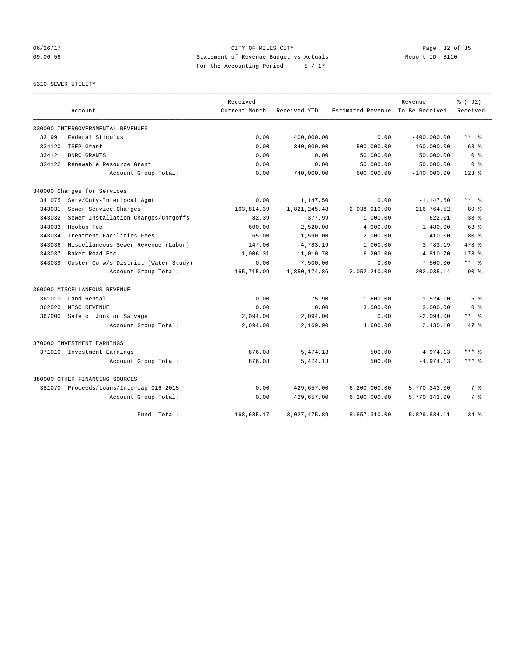## 06/26/17 Page: 32 of 35 09:06:56 Statement of Revenue Budget vs Actuals Report ID: B110 For the Accounting Period: 5 / 17

## 5310 SEWER UTILITY

|        |                                         | Received      |              |                   | Revenue        | % ( 92)                 |
|--------|-----------------------------------------|---------------|--------------|-------------------|----------------|-------------------------|
|        | Account                                 | Current Month | Received YTD | Estimated Revenue | To Be Received | Received                |
|        | 330000 INTERGOVERNMENTAL REVENUES       |               |              |                   |                |                         |
| 331991 | Federal Stimulus                        | 0.00          | 400,000.00   | 0.00              | $-400,000.00$  | $***$<br>ഀ              |
| 334120 | TSEP Grant                              | 0.00          | 340,000.00   | 500,000.00        | 160,000.00     | 68 %                    |
| 334121 | DNRC GRANTS                             | 0.00          | 0.00         | 50,000.00         | 50,000.00      | 0 <sup>8</sup>          |
| 334122 | Renewable Resource Grant                | 0.00          | 0.00         | 50,000.00         | 50,000.00      | 0 <sup>8</sup>          |
|        | Account Group Total:                    | 0.00          | 740,000.00   | 600,000.00        | $-140,000.00$  | $123$ $%$               |
|        | 340000 Charges for Services             |               |              |                   |                |                         |
| 341075 | Serv/Cnty-Interlocal Agmt               | 0.00          | 1,147.50     | 0.00              | $-1, 147.50$   | $***$ $=$ $\frac{6}{5}$ |
| 343031 | Sewer Service Charges                   | 163,814.39    | 1,821,245.48 | 2,038,010.00      | 216,764.52     | 89 %                    |
| 343032 | Sewer Installation Charges/Chrgoffs     | 82.39         | 377.99       | 1,000.00          | 622.01         | 38 <sup>8</sup>         |
| 343033 | Hookup Fee                              | 600.00        | 2,520.00     | 4,000.00          | 1,480.00       | 63 %                    |
| 343034 | Treatment Facilities Fees               | 65.00         | 1,590.00     | 2,000.00          | 410.00         | $80*$                   |
| 343036 | Miscellaneous Sewer Revenue (Labor)     | 147.00        | 4,783.19     | 1,000.00          | $-3,783.19$    | 478 %                   |
| 343037 | Baker Road Etc.                         | 1,006.31      | 11,010.70    | 6, 200.00         | $-4,810.70$    | $178$ %                 |
| 343039 | Custer Co w/s District (Water Study)    | 0.00          | 7,500.00     | 0.00              | $-7,500.00$    | $***$ $=$ $\frac{6}{5}$ |
|        | Account Group Total:                    | 165,715.09    | 1,850,174.86 | 2,052,210.00      | 202,035.14     | $90*$                   |
|        | 360000 MISCELLANEOUS REVENUE            |               |              |                   |                |                         |
| 361010 | Land Rental                             | 0.00          | 75.90        | 1,600.00          | 1,524.10       | 5 <sup>8</sup>          |
| 362020 | MISC REVENUE                            | 0.00          | 0.00         | 3,000.00          | 3,000.00       | 0 <sup>8</sup>          |
| 367000 | Sale of Junk or Salvage                 | 2,094.00      | 2,094.00     | 0.00              | $-2,094.00$    | ** 왕                    |
|        | Account Group Total:                    | 2,094.00      | 2,169.90     | 4,600.00          | 2,430.10       | 47 %                    |
|        | 370000 INVESTMENT EARNINGS              |               |              |                   |                |                         |
|        | 371010 Investment Earnings              | 876.08        | 5, 474.13    | 500.00            | $-4, 974.13$   | $***$ $_{8}$            |
|        | Account Group Total:                    | 876.08        | 5, 474.13    | 500.00            | $-4,974.13$    | $***$ $%$               |
|        | 380000 OTHER FINANCING SOURCES          |               |              |                   |                |                         |
|        | 381070 Proceeds/Loans/Intercap 016-2015 | 0.00          | 429,657.00   | 6, 200, 000.00    | 5,770,343.00   | 7 %                     |
|        | Account Group Total:                    | 0.00          | 429,657.00   | 6, 200, 000.00    | 5,770,343.00   | 7 %                     |
|        | Fund Total:                             | 168,685.17    | 3,027,475.89 | 8,857,310.00      | 5,829,834.11   | $34$ $%$                |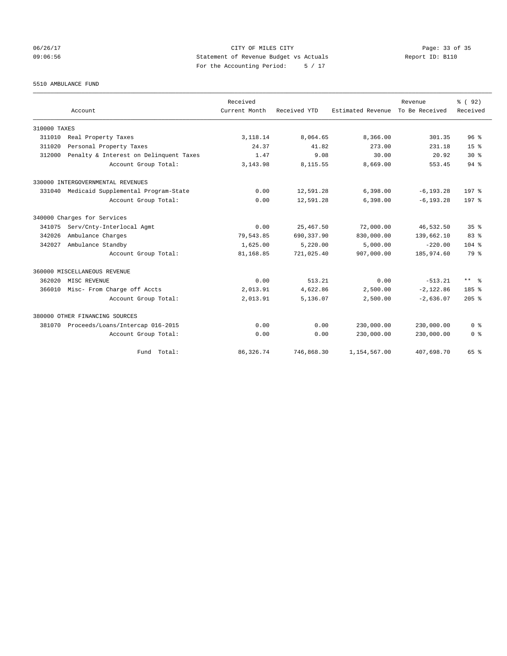## 06/26/17 Page: 33 of 35 09:06:56 Statement of Revenue Budget vs Actuals Report ID: B110 For the Accounting Period: 5 / 17

5510 AMBULANCE FUND

|              |                                            | Received      |              |                   | Revenue        | % (92)           |
|--------------|--------------------------------------------|---------------|--------------|-------------------|----------------|------------------|
|              | Account                                    | Current Month | Received YTD | Estimated Revenue | To Be Received | Received         |
| 310000 TAXES |                                            |               |              |                   |                |                  |
| 311010       | Real Property Taxes                        | 3,118.14      | 8,064.65     | 8,366.00          | 301.35         | 96 <sup>8</sup>  |
| 311020       | Personal Property Taxes                    | 24.37         | 41.82        | 273.00            | 231.18         | 15 <sup>8</sup>  |
| 312000       | Penalty & Interest on Delinquent Taxes     | 1.47          | 9.08         | 30.00             | 20.92          | $30*$            |
|              | Account Group Total:                       | 3, 143.98     | 8,115.55     | 8,669.00          | 553.45         | 94.8             |
|              | 330000 INTERGOVERNMENTAL REVENUES          |               |              |                   |                |                  |
|              | 331040 Medicaid Supplemental Program-State | 0.00          | 12,591.28    | 6,398.00          | $-6, 193.28$   | 197 <sub>8</sub> |
|              | Account Group Total:                       | 0.00          | 12,591.28    | 6,398.00          | $-6, 193.28$   | 197 <sub>8</sub> |
|              | 340000 Charges for Services                |               |              |                   |                |                  |
| 341075       | Serv/Cnty-Interlocal Agmt                  | 0.00          | 25, 467.50   | 72,000.00         | 46,532.50      | 35 <sup>8</sup>  |
| 342026       | Ambulance Charges                          | 79,543.85     | 690, 337.90  | 830,000.00        | 139,662.10     | 83%              |
| 342027       | Ambulance Standby                          | 1,625.00      | 5,220.00     | 5.000.00          | $-220.00$      | $104$ %          |
|              | Account Group Total:                       | 81,168.85     | 721,025.40   | 907,000.00        | 185,974.60     | 79 %             |
|              | 360000 MISCELLANEOUS REVENUE               |               |              |                   |                |                  |
| 362020       | MISC REVENUE                               | 0.00          | 513.21       | 0.00              | $-513.21$      | $***$ $ -$       |
| 366010       | Misc- From Charge off Accts                | 2,013.91      | 4,622.86     | 2,500.00          | $-2,122.86$    | 185 <sup>8</sup> |
|              | Account Group Total:                       | 2,013.91      | 5,136.07     | 2,500.00          | $-2,636.07$    | $205$ %          |
|              | 380000 OTHER FINANCING SOURCES             |               |              |                   |                |                  |
| 381070       | Proceeds/Loans/Intercap 016-2015           | 0.00          | 0.00         | 230,000.00        | 230,000.00     | 0 <sup>8</sup>   |
|              | Account Group Total:                       | 0.00          | 0.00         | 230,000.00        | 230,000.00     | 0 <sup>8</sup>   |
|              | Fund Total:                                | 86, 326.74    | 746,868.30   | 1,154,567.00      | 407,698.70     | 65 %             |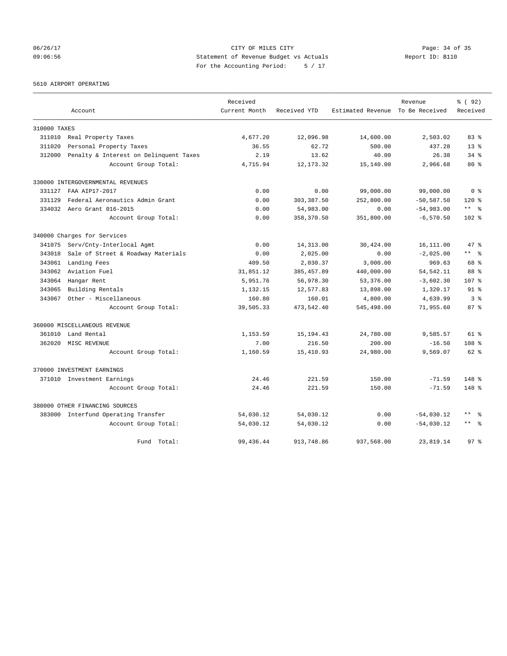06/26/17 Page: 34 of 35 09:06:56 Statement of Revenue Budget vs Actuals Report ID: B110 For the Accounting Period: 5 / 17

5610 AIRPORT OPERATING

|              |                                        | Received      |              |                                  | Revenue      | % (92)                  |
|--------------|----------------------------------------|---------------|--------------|----------------------------------|--------------|-------------------------|
|              | Account                                | Current Month | Received YTD | Estimated Revenue To Be Received |              | Received                |
| 310000 TAXES |                                        |               |              |                                  |              |                         |
| 311010       | Real Property Taxes                    | 4,677.20      | 12,096.98    | 14,600.00                        | 2,503.02     | $83 *$                  |
| 311020       | Personal Property Taxes                | 36.55         | 62.72        | 500.00                           | 437.28       | $13*$                   |
| 312000       | Penalty & Interest on Delinquent Taxes | 2.19          | 13.62        | 40.00                            | 26.38        | $34$ $%$                |
|              | Account Group Total:                   | 4,715.94      | 12, 173.32   | 15,140.00                        | 2,966.68     | $80*$                   |
|              | 330000 INTERGOVERNMENTAL REVENUES      |               |              |                                  |              |                         |
| 331127       | FAA AIP17-2017                         | 0.00          | 0.00         | 99,000.00                        | 99,000.00    | 0 <sup>8</sup>          |
| 331129       | Federal Aeronautics Admin Grant        | 0.00          | 303, 387.50  | 252,800.00                       | $-50,587.50$ | $120$ %                 |
| 334032       | Aero Grant 016-2015                    | 0.00          | 54,983.00    | 0.00                             | $-54,983.00$ | $***$ $=$ $\frac{6}{5}$ |
|              | Account Group Total:                   | 0.00          | 358,370.50   | 351,800.00                       | $-6,570.50$  | $102*$                  |
|              | 340000 Charges for Services            |               |              |                                  |              |                         |
| 341075       | Serv/Cnty-Interlocal Agmt              | 0.00          | 14, 313.00   | 30,424.00                        | 16,111.00    | 47%                     |
| 343018       | Sale of Street & Roadway Materials     | 0.00          | 2,025.00     | 0.00                             | $-2,025.00$  | $***$ $ -$              |
| 343061       | Landing Fees                           | 409.50        | 2,030.37     | 3,000.00                         | 969.63       | 68 %                    |
| 343062       | Aviation Fuel                          | 31,851.12     | 385, 457.89  | 440,000.00                       | 54, 542.11   | 88 %                    |
| 343064       | Hangar Rent                            | 5,951.76      | 56,978.30    | 53,376.00                        | $-3,602.30$  | 107 <sub>8</sub>        |
| 343065       | Building Rentals                       | 1,132.15      | 12,577.83    | 13,898.00                        | 1,320.17     | $91$ $8$                |
| 343067       | Other - Miscellaneous                  | 160.80        | 160.01       | 4,800.00                         | 4,639.99     | 3%                      |
|              | Account Group Total:                   | 39,505.33     | 473,542.40   | 545,498.00                       | 71,955.60    | 87%                     |
|              | 360000 MISCELLANEOUS REVENUE           |               |              |                                  |              |                         |
| 361010       | Land Rental                            | 1, 153.59     | 15, 194.43   | 24,780.00                        | 9,585.57     | $61$ $%$                |
| 362020       | MISC REVENUE                           | 7.00          | 216.50       | 200.00                           | $-16.50$     | 108 <sup>8</sup>        |
|              | Account Group Total:                   | 1,160.59      | 15,410.93    | 24,980.00                        | 9,569.07     | 62 %                    |
|              | 370000 INVESTMENT EARNINGS             |               |              |                                  |              |                         |
|              | 371010 Investment Earnings             | 24.46         | 221.59       | 150.00                           | $-71.59$     | $148$ %                 |
|              | Account Group Total:                   | 24.46         | 221.59       | 150.00                           | $-71.59$     | $148*$                  |
|              | 380000 OTHER FINANCING SOURCES         |               |              |                                  |              |                         |
|              | 383000 Interfund Operating Transfer    | 54,030.12     | 54,030.12    | 0.00                             | $-54,030.12$ | $***$<br>- 응            |
|              | Account Group Total:                   | 54,030.12     | 54,030.12    | 0.00                             | $-54,030.12$ | $\star$ $\star$<br>း    |
|              | Fund Total:                            | 99, 436.44    | 913,748.86   | 937,568.00                       | 23,819.14    | 97 <sup>8</sup>         |